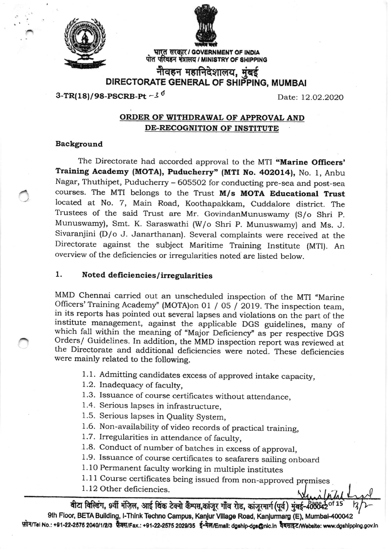

ar



पोत परिवहन बंत्रालय / MINISTRY OF SHIPPING भारत सरकार / GOVERNMENT OF INDIA

नीवहन महानिदेशालय, मुंबई DIRECTORATE GENERAL OF SHIPPING, MUMBAI

 $3-TR(18)/98-PSCRB-Pt -3^0$ 

Date: 12.02.2020

## ORDER OF WITHDRAWAL OF APPROVAL AND DE.RECOGNITION OF INSTITUTE

## Background

The Directorate had accorded approval to the MTI "Marine Officers' Training Academy (MOTA), Puducherry" (MTI No. 402014), No. 1, Anbu Nagar, Thuthipet, Puducherry - 605502 for conducting pre-sea and post-sea courses. The MTI belongs to the Trust M/s MOTA Educational Trust located at No. 7, Main Road, Koothapakkam, Cuddalore district. The Trustees of the said Trust are Mr. GovindanMunuswamy (S/o Shri p. Munuswamy), Smt. K. Saraswathi (W/o Shri p. Munuswamy) and Ms. J. Sivaranjini (D/o J. Janarthanan). Several complaints were received at the Directorate against the subject Maritime Training Institute (MTI). An overview of the deficiencies or irregularities noted are listed below.

## 1. Noted deficiencies / irregularities

MMD Chennai carried out an unscheduled inspection of the MTI "Marine Officers' Training Academy" (MOTA) on 01 / 05 / 2019. The inspection team, in its reports has pointed out several lapses and violations on the part of the institute management, against the applicable DGS guidelines, many of which fall within the meaning of "Major Deficiency" as per respective DGS were mainly related to the following.

- <sup>1</sup>. 1. Admitting candidates excess of approved intake capacity,
- <sup>1</sup>.2. Inadequacy of faculty,
- 1.3. Issuance of course certificates without attendance,
- 1.4. Serious lapses in infrastructure,
- 1.5. Serious lapses in Quality System,
- 1.6. Non-availability of video records of practical training,
- 1.7. Irregularities in attendance of faculty,
- 1.8. Conduct of number of batches in excess of approval,
- 1.9. Issuance of course certificates to seafarers sailing onboard
- l. 10 Permanent faculty working in multiple institutes
- 1.11 Course certificates being issued from non-approved premises
- 1. 12 Other deficiencies.

वीटा विल्डिंग, 9वीं मंज़िल, आई थिंक टेक्नो कैम्पस,कांजूर गाँव रोड, कांजूरमार्ग (पूर्व) मुंबई-408642<sup>01</sup> 9th Floor, BETA Building, I-Think Techno Campus, Kanjur Village Road, Kanjurmarg (E), Mumbai-400042 फ़ोन/Tel No.: +91-22-2575 2040/1/2/3 फ़ैक्स/Fax.: +91-22-2575 2029/35 ई-मेल/Email: dgship-dgs@nic.in वेबसाइट/Website: www.dgshipping.gov.in